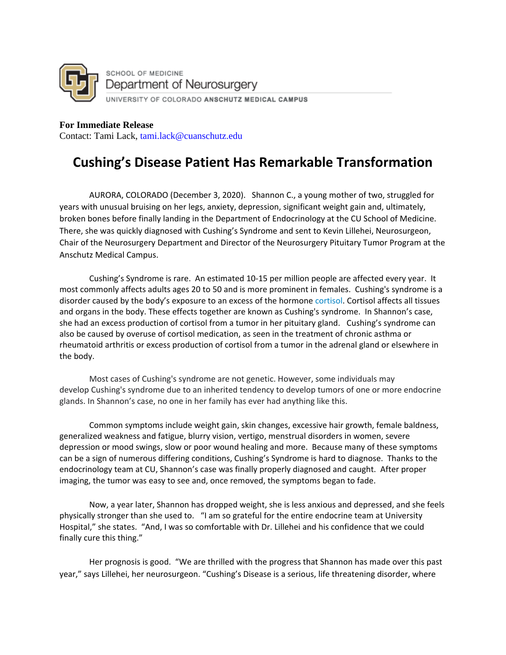

**For Immediate Release**  Contact: Tami Lack, tami.lack@cuanschutz.edu

## **Cushing's Disease Patient Has Remarkable Transformation**

AURORA, COLORADO (December 3, 2020). Shannon C., a young mother of two, struggled for years with unusual bruising on her legs, anxiety, depression, significant weight gain and, ultimately, broken bones before finally landing in the Department of Endocrinology at the CU School of Medicine. There, she was quickly diagnosed with Cushing's Syndrome and sent to Kevin Lillehei, Neurosurgeon, Chair of the Neurosurgery Department and Director of the Neurosurgery Pituitary Tumor Program at the Anschutz Medical Campus.

Cushing's Syndrome is rare. An estimated 10-15 per million people are affected every year. It most commonly affects adults ages 20 to 50 and is more prominent in females. Cushing's syndrome is a disorder caused by the body's exposure to an excess of the hormone [cortisol.](https://en.wikipedia.org/wiki/Cortisol) Cortisol affects all tissues and organs in the body. These effects together are known as Cushing's syndrome. In Shannon's case, she had an excess production of cortisol from a tumor in her pituitary gland. Cushing's syndrome can also be caused by overuse of cortisol medication, as seen in the treatment of chronic asthma or rheumatoid arthritis or excess production of cortisol from a tumor in the adrenal gland or elsewhere in the body.

Most cases of Cushing's syndrome are not genetic. However, some individuals may develop Cushing's syndrome due to an inherited tendency to develop tumors of one or more endocrine glands. In Shannon's case, no one in her family has ever had anything like this.

Common symptoms include weight gain, skin changes, excessive hair growth, female baldness, generalized weakness and fatigue, blurry vision, vertigo, menstrual disorders in women, severe depression or mood swings, slow or poor wound healing and more. Because many of these symptoms can be a sign of numerous differing conditions, Cushing's Syndrome is hard to diagnose. Thanks to the endocrinology team at CU, Shannon's case was finally properly diagnosed and caught. After proper imaging, the tumor was easy to see and, once removed, the symptoms began to fade.

Now, a year later, Shannon has dropped weight, she is less anxious and depressed, and she feels physically stronger than she used to. "I am so grateful for the entire endocrine team at University Hospital," she states. "And, I was so comfortable with Dr. Lillehei and his confidence that we could finally cure this thing."

Her prognosis is good. "We are thrilled with the progress that Shannon has made over this past year," says Lillehei, her neurosurgeon. "Cushing's Disease is a serious, life threatening disorder, where